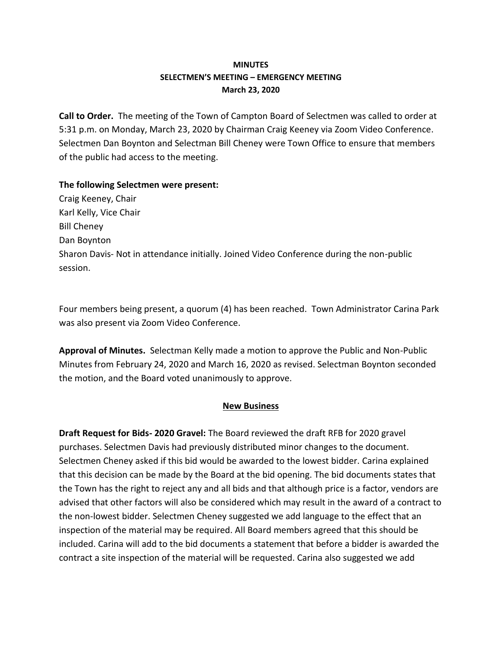## **MINUTES SELECTMEN'S MEETING – EMERGENCY MEETING March 23, 2020**

**Call to Order.** The meeting of the Town of Campton Board of Selectmen was called to order at 5:31 p.m. on Monday, March 23, 2020 by Chairman Craig Keeney via Zoom Video Conference. Selectmen Dan Boynton and Selectman Bill Cheney were Town Office to ensure that members of the public had access to the meeting.

### **The following Selectmen were present:**

Craig Keeney, Chair Karl Kelly, Vice Chair Bill Cheney Dan Boynton Sharon Davis- Not in attendance initially. Joined Video Conference during the non-public session.

Four members being present, a quorum (4) has been reached.Town Administrator Carina Park was also present via Zoom Video Conference.

**Approval of Minutes.** Selectman Kelly made a motion to approve the Public and Non-Public Minutes from February 24, 2020 and March 16, 2020 as revised. Selectman Boynton seconded the motion, and the Board voted unanimously to approve.

### **New Business**

**Draft Request for Bids- 2020 Gravel:** The Board reviewed the draft RFB for 2020 gravel purchases. Selectmen Davis had previously distributed minor changes to the document. Selectmen Cheney asked if this bid would be awarded to the lowest bidder. Carina explained that this decision can be made by the Board at the bid opening. The bid documents states that the Town has the right to reject any and all bids and that although price is a factor, vendors are advised that other factors will also be considered which may result in the award of a contract to the non-lowest bidder. Selectmen Cheney suggested we add language to the effect that an inspection of the material may be required. All Board members agreed that this should be included. Carina will add to the bid documents a statement that before a bidder is awarded the contract a site inspection of the material will be requested. Carina also suggested we add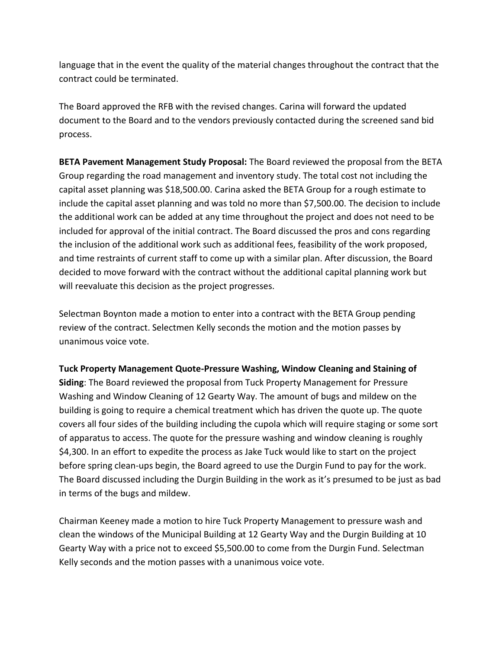language that in the event the quality of the material changes throughout the contract that the contract could be terminated.

The Board approved the RFB with the revised changes. Carina will forward the updated document to the Board and to the vendors previously contacted during the screened sand bid process.

**BETA Pavement Management Study Proposal:** The Board reviewed the proposal from the BETA Group regarding the road management and inventory study. The total cost not including the capital asset planning was \$18,500.00. Carina asked the BETA Group for a rough estimate to include the capital asset planning and was told no more than \$7,500.00. The decision to include the additional work can be added at any time throughout the project and does not need to be included for approval of the initial contract. The Board discussed the pros and cons regarding the inclusion of the additional work such as additional fees, feasibility of the work proposed, and time restraints of current staff to come up with a similar plan. After discussion, the Board decided to move forward with the contract without the additional capital planning work but will reevaluate this decision as the project progresses.

Selectman Boynton made a motion to enter into a contract with the BETA Group pending review of the contract. Selectmen Kelly seconds the motion and the motion passes by unanimous voice vote.

### **Tuck Property Management Quote-Pressure Washing, Window Cleaning and Staining of**

**Siding**: The Board reviewed the proposal from Tuck Property Management for Pressure Washing and Window Cleaning of 12 Gearty Way. The amount of bugs and mildew on the building is going to require a chemical treatment which has driven the quote up. The quote covers all four sides of the building including the cupola which will require staging or some sort of apparatus to access. The quote for the pressure washing and window cleaning is roughly \$4,300. In an effort to expedite the process as Jake Tuck would like to start on the project before spring clean-ups begin, the Board agreed to use the Durgin Fund to pay for the work. The Board discussed including the Durgin Building in the work as it's presumed to be just as bad in terms of the bugs and mildew.

Chairman Keeney made a motion to hire Tuck Property Management to pressure wash and clean the windows of the Municipal Building at 12 Gearty Way and the Durgin Building at 10 Gearty Way with a price not to exceed \$5,500.00 to come from the Durgin Fund. Selectman Kelly seconds and the motion passes with a unanimous voice vote.